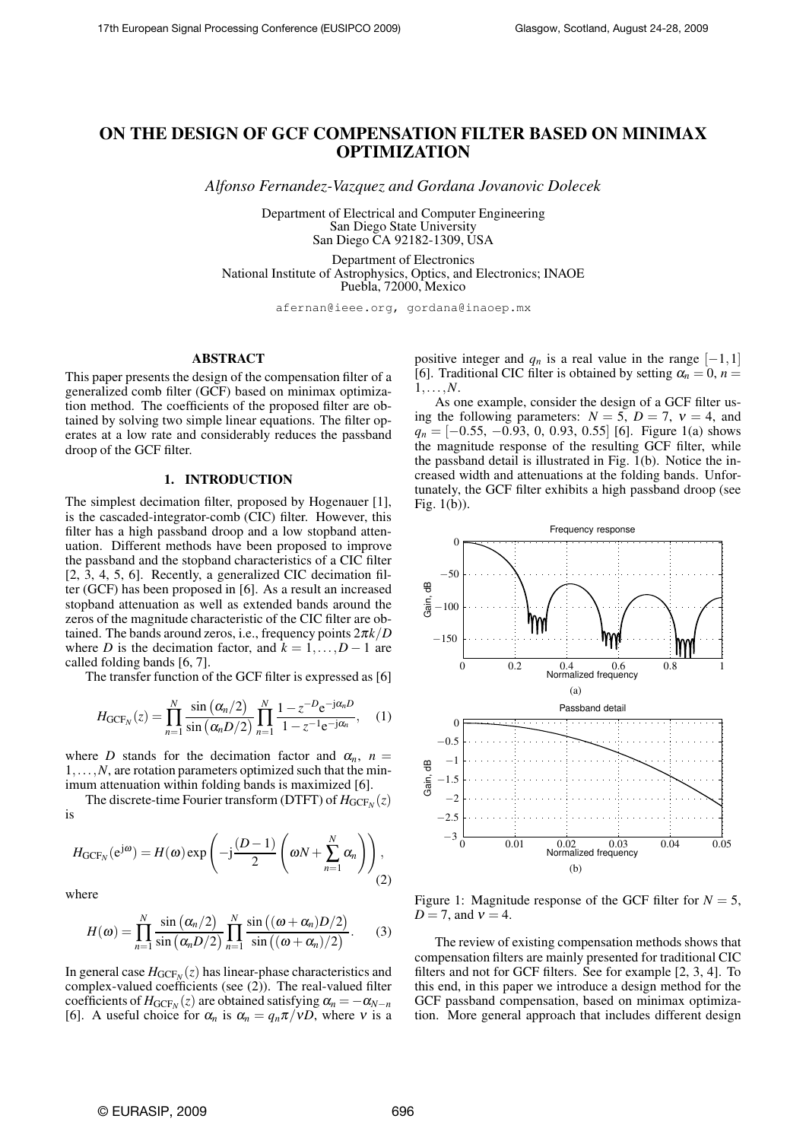# **ON THE DESIGN OF GCF COMPENSATION FILTER BASED ON MINIMAX OPTIMIZATION**

*Alfonso Fernandez-Vazquez and Gordana Jovanovic Dolecek*

Department of Electrical and Computer Engineering San Diego State University San Diego CA 92182-1309, USA

Department of Electronics National Institute of Astrophysics, Optics, and Electronics; INAOE Puebla, 72000, Mexico

afernan@ieee.org, gordana@inaoep.mx

## **ABSTRACT**

This paper presents the design of the compensation filter of a generalized comb filter (GCF) based on minimax optimization method. The coefficients of the proposed filter are obtained by solving two simple linear equations. The filter operates at a low rate and considerably reduces the passband droop of the GCF filter.

## **1. INTRODUCTION**

The simplest decimation filter, proposed by Hogenauer [1], is the cascaded-integrator-comb (CIC) filter. However, this filter has a high passband droop and a low stopband attenuation. Different methods have been proposed to improve the passband and the stopband characteristics of a CIC filter [2, 3, 4, 5, 6]. Recently, a generalized CIC decimation filter (GCF) has been proposed in [6]. As a result an increased stopband attenuation as well as extended bands around the zeros of the magnitude characteristic of the CIC filter are obtained. The bands around zeros, i.e., frequency points 2π*k*/*D* where *D* is the decimation factor, and  $k = 1, \ldots, D - 1$  are called folding bands [6, 7].

The transfer function of the GCF filter is expressed as [6]

$$
H_{\text{GCF}_N}(z) = \prod_{n=1}^N \frac{\sin(\alpha_n/2)}{\sin(\alpha_n D/2)} \prod_{n=1}^N \frac{1 - z^{-D} e^{-j\alpha_n D}}{1 - z^{-1} e^{-j\alpha_n}}, \quad (1)
$$

where *D* stands for the decimation factor and  $\alpha_n$ ,  $n =$ 1,...,*N*, are rotation parameters optimized such that the minimum attenuation within folding bands is maximized [6].

The discrete-time Fourier transform (DTFT) of  $H_{GCF_N}(z)$ is

$$
H_{\text{GCF}_N}(e^{j\omega}) = H(\omega) \exp\left(-j\frac{(D-1)}{2}\left(\omega N + \sum_{n=1}^N \alpha_n\right)\right),\tag{2}
$$

where

$$
H(\omega) = \prod_{n=1}^{N} \frac{\sin (\alpha_n/2)}{\sin (\alpha_n D/2)} \prod_{n=1}^{N} \frac{\sin ((\omega + \alpha_n)D/2)}{\sin ((\omega + \alpha_n)/2)}.
$$
 (3)

In general case  $H_{\mathrm{GCF}_N}(z)$  has linear-phase characteristics and complex-valued coefficients (see (2)). The real-valued filter coefficients of  $H_{GCF_N}(z)$  are obtained satisfying  $\alpha_n = -\alpha_{N-n}$ [6]. A useful choice for  $\alpha_n$  is  $\alpha_n = q_n \pi / vD$ , where v is a positive integer and  $q_n$  is a real value in the range  $[-1,1]$ [6]. Traditional CIC filter is obtained by setting  $\alpha_n = 0$ ,  $n =$ 1,...,*N*.

As one example, consider the design of a GCF filter using the following parameters:  $N = 5$ ,  $D = 7$ ,  $v = 4$ , and *q<sub>n</sub>* = [−0.55, −0.93, 0, 0.93, 0.55] [6]. Figure 1(a) shows the magnitude response of the resulting GCF filter, while the passband detail is illustrated in Fig. 1(b). Notice the increased width and attenuations at the folding bands. Unfortunately, the GCF filter exhibits a high passband droop (see Fig. 1(b)).



Figure 1: Magnitude response of the GCF filter for  $N = 5$ , *D* = 7, and  $v = 4$ .

The review of existing compensation methods shows that compensation filters are mainly presented for traditional CIC filters and not for GCF filters. See for example [2, 3, 4]. To this end, in this paper we introduce a design method for the GCF passband compensation, based on minimax optimization. More general approach that includes different design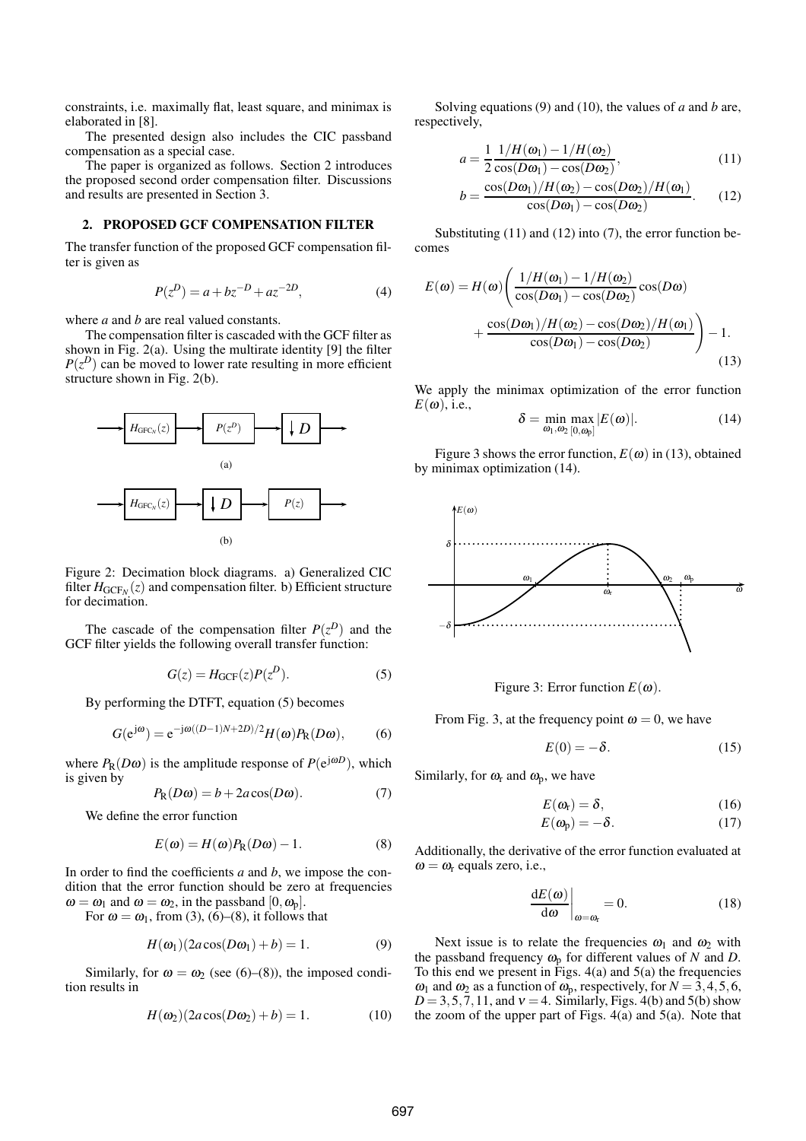constraints, i.e. maximally flat, least square, and minimax is elaborated in [8].

The presented design also includes the CIC passband compensation as a special case.

The paper is organized as follows. Section 2 introduces the proposed second order compensation filter. Discussions and results are presented in Section 3.

## **2. PROPOSED GCF COMPENSATION FILTER**

The transfer function of the proposed GCF compensation filter is given as

$$
P(z^D) = a + bz^{-D} + az^{-2D},
$$
\n(4)

where *a* and *b* are real valued constants.

The compensation filter is cascaded with the GCF filter as shown in Fig. 2(a). Using the multirate identity [9] the filter  $P(z^D)$  can be moved to lower rate resulting in more efficient structure shown in Fig. 2(b).



Figure 2: Decimation block diagrams. a) Generalized CIC filter  $H_{GCF_N}(z)$  and compensation filter. b) Efficient structure for decimation.

The cascade of the compensation filter  $P(z^D)$  and the GCF filter yields the following overall transfer function:

$$
G(z) = H_{GCF}(z)P(z^D). \tag{5}
$$

By performing the DTFT, equation (5) becomes

$$
G(e^{j\omega}) = e^{-j\omega((D-1)N+2D)/2}H(\omega)P_{R}(D\omega),
$$
 (6)

where  $P_R(D\omega)$  is the amplitude response of  $P(e^{j\omega D})$ , which is given by

$$
P_{\mathcal{R}}(D\omega) = b + 2a\cos(D\omega). \tag{7}
$$

We define the error function

$$
E(\omega) = H(\omega)P_{R}(D\omega) - 1.
$$
 (8)

In order to find the coefficients *a* and *b*, we impose the condition that the error function should be zero at frequencies  $\omega = \omega_1$  and  $\omega = \omega_2$ , in the passband  $[0, \omega_0]$ .

For  $\omega = \omega_1$ , from (3), (6)–(8), it follows that

$$
H(\omega_1)(2a\cos(D\omega_1)+b)=1.
$$
 (9)

Similarly, for  $\omega = \omega_2$  (see (6)–(8)), the imposed condition results in

$$
H(\omega_2)(2a\cos(D\omega_2)+b)=1.
$$
 (10)

Solving equations (9) and (10), the values of *a* and *b* are, respectively,

$$
a = \frac{1}{2} \frac{1/H(\omega_1) - 1/H(\omega_2)}{\cos(D\omega_1) - \cos(D\omega_2)},
$$
\n(11)

$$
b = \frac{\cos(D\omega_1)/H(\omega_2) - \cos(D\omega_2)/H(\omega_1)}{\cos(D\omega_1) - \cos(D\omega_2)}.
$$
 (12)

Substituting (11) and (12) into (7), the error function becomes

$$
E(\omega) = H(\omega) \left( \frac{1/H(\omega_1) - 1/H(\omega_2)}{\cos(D\omega_1) - \cos(D\omega_2)} \cos(D\omega) + \frac{\cos(D\omega_1)/H(\omega_2) - \cos(D\omega_2)/H(\omega_1)}{\cos(D\omega_1) - \cos(D\omega_2)} \right) - 1.
$$
\n(13)

We apply the minimax optimization of the error function  $E(\omega)$ , i.e.,

$$
\delta = \min_{\omega_1, \omega_2} \max_{[0, \omega_p]} |E(\omega)|. \tag{14}
$$

Figure 3 shows the error function,  $E(\omega)$  in (13), obtained by minimax optimization (14).



Figure 3: Error function  $E(\omega)$ .

From Fig. 3, at the frequency point  $\omega = 0$ , we have

$$
E(0) = -\delta. \tag{15}
$$

Similarly, for  $\omega_r$  and  $\omega_p$ , we have

$$
E(\omega_{\rm r})=\delta,\qquad \qquad (16)
$$

$$
E(\omega_{\rm p}) = -\delta. \tag{17}
$$

Additionally, the derivative of the error function evaluated at  $\omega = \omega_r$  equals zero, i.e.,

$$
\left. \frac{\mathrm{d}E(\omega)}{\mathrm{d}\omega} \right|_{\omega = \omega_{\rm r}} = 0. \tag{18}
$$

Next issue is to relate the frequencies  $\omega_1$  and  $\omega_2$  with the passband frequency  $\omega_p$  for different values of *N* and *D*. To this end we present in Figs.  $4(a)$  and  $5(a)$  the frequencies  $\omega_1$  and  $\omega_2$  as a function of  $\omega_p$ , respectively, for  $N = 3, 4, 5, 6$ ,  $D = 3, 5, 7, 11$ , and  $v = 4$ . Similarly, Figs. 4(b) and 5(b) show the zoom of the upper part of Figs.  $4(a)$  and  $5(a)$ . Note that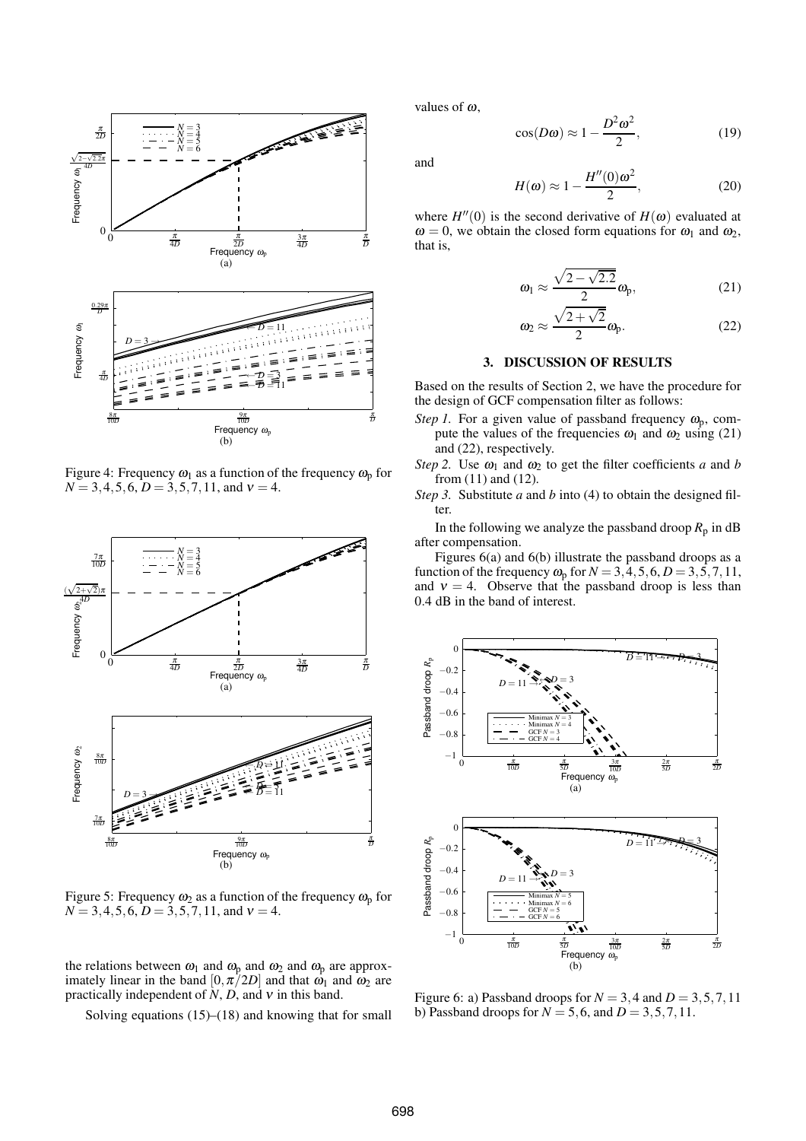

Figure 4: Frequency  $\omega_1$  as a function of the frequency  $\omega_p$  for  $N = 3, 4, 5, 6, D = 3, 5, 7, 11,$  and  $v = 4$ .



Figure 5: Frequency  $\omega_2$  as a function of the frequency  $\omega_0$  for  $N = 3, 4, 5, 6, D = 3, 5, 7, 11,$  and  $v = 4$ .

the relations between  $\omega_1$  and  $\omega_p$  and  $\omega_2$  and  $\omega_p$  are approximately linear in the band  $[0, \pi/2D]$  and that  $\omega_1$  and  $\omega_2$  are practically independent of *N*, *D*, and <sup>ν</sup> in this band.

Solving equations  $(15)$ – $(18)$  and knowing that for small

values of  $\omega$ ,

$$
\cos(D\omega) \approx 1 - \frac{D^2 \omega^2}{2},\tag{19}
$$

and

$$
H(\omega) \approx 1 - \frac{H''(0)\omega^2}{2},\tag{20}
$$

where  $H''(0)$  is the second derivative of  $H(\omega)$  evaluated at  $\omega = 0$ , we obtain the closed form equations for  $\omega_1$  and  $\omega_2$ , that is,

$$
\omega_1 \approx \frac{\sqrt{2 - \sqrt{2.2}}}{2} \omega_p, \tag{21}
$$

$$
\omega_2 \approx \frac{\sqrt{2+\sqrt{2}}}{2} \omega_{\rm p}.\tag{22}
$$

### **3. DISCUSSION OF RESULTS**

Based on the results of Section 2, we have the procedure for the design of GCF compensation filter as follows:

- *Step 1.* For a given value of passband frequency  $\omega_{\rm p}$ , compute the values of the frequencies  $\omega_1$  and  $\omega_2$  using (21) and (22), respectively.
- *Step 2.* Use  $\omega_1$  and  $\omega_2$  to get the filter coefficients *a* and *b* from (11) and (12).
- *Step 3.* Substitute *a* and *b* into (4) to obtain the designed filter.

In the following we analyze the passband droop  $R_p$  in dB after compensation.

Figures 6(a) and 6(b) illustrate the passband droops as a function of the frequency  $\omega_p$  for  $N = 3, 4, 5, 6, D = 3, 5, 7, 11$ , and  $v = 4$ . Observe that the passband droop is less than 0.4 dB in the band of interest.



Figure 6: a) Passband droops for  $N = 3, 4$  and  $D = 3, 5, 7, 11$ b) Passband droops for  $N = 5, 6$ , and  $D = 3, 5, 7, 11$ .